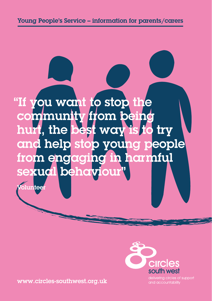





delivering circles of support and accountability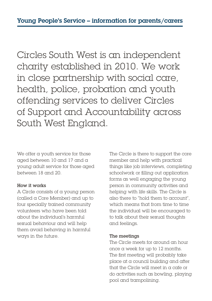Circles South West is an independent charity established in 2010. We work in close partnership with social care, health, police, probation and youth offending services to deliver Circles of Support and Accountability across South West England.

We offer a youth service for those aged between 10 and 17 and a young adult service for those aged between 18 and 20.

### How it works

A Circle consists of a young person (called a Core Member) and up to four specially trained community volunteers who have been told about the individual's harmful sexual behaviour and will help them avoid behaving in harmful ways in the future.

The Circle is there to support the core member and help with practical things like job interviews, completing schoolwork or filling out application forms as well engaging the young person in community activities and helping with life skills. The Circle is also there to "hold them to account", which means that from time to time the individual will be encouraged to to talk about their sexual thoughts and feelings.

# The meetings

The Circle meets for around an hour once a week for up to 12 months. The first meeting will probably take place at a council building and after that the Circle will meet in a cafe or do activities such as bowling, playing pool and trampolining.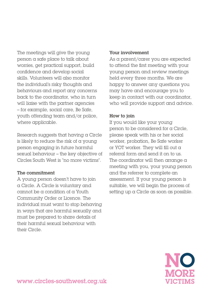The meetings will give the young person a safe place to talk about worries, get practical support, build confidence and develop social skills. Volunteers will also monitor the individual's risky thoughts and behaviours and report any concerns back to the coordinator, who in turn will liaise with the partner agencies – for example, social care, Be Safe, youth offending team and/or police, where applicable.

Research suggests that having a Circle is likely to reduce the risk of a young person engaging in future harmful sexual behaviour – the key objective of Circles South West is "no more victims".

### The commitment

A young person doesn't have to join a Circle. A Circle is voluntary and cannot be a condition of a Youth Community Order or Licence. The individual must want to stop behaving in ways that are harmful sexually and must be prepared to share details of their harmful sexual behaviour with their Circle.

## Your involvement

As a parent/carer you are expected to attend the first meeting with your young person and review meetings held every three months. We are happy to answer any questions you may have and encourage you to keep in contact with our coordinator, who will provide support and advice.

# How to join

If you would like your young person to be considered for a Circle, please speak with his or her social worker, probation, Be Safe worker or YOT worker. They will fill out a referral form and send it on to us. The coordinator will then arrange a meeting with you, your young person and the referrer to complete an assessment. If your young person is suitable, we will begin the process of setting up a Circle as soon as possible.